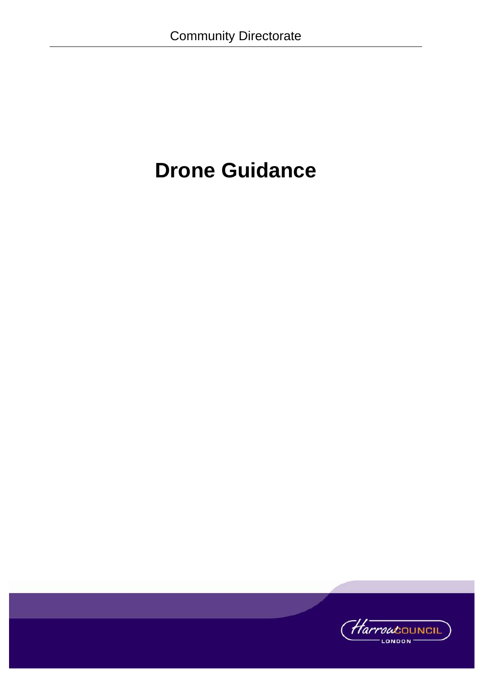# **Drone Guidance**

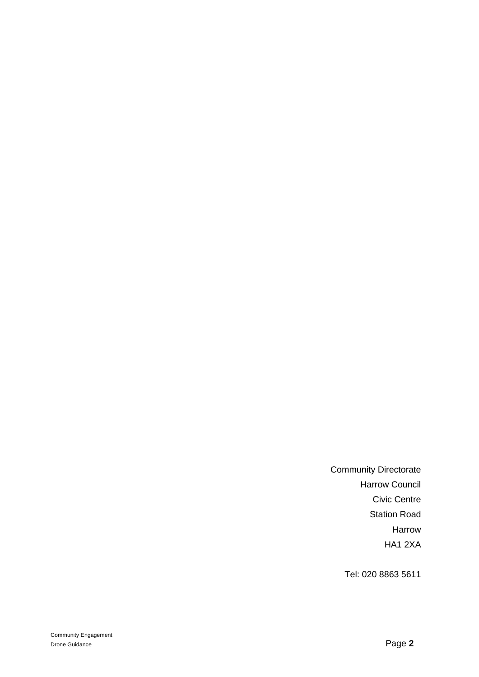Community Directorate Harrow Council Civic Centre Station Road Harrow HA1 2XA

Tel: 020 8863 5611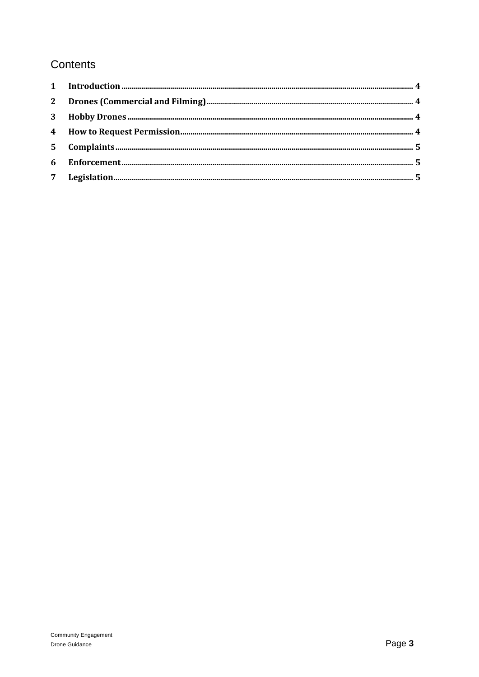# Contents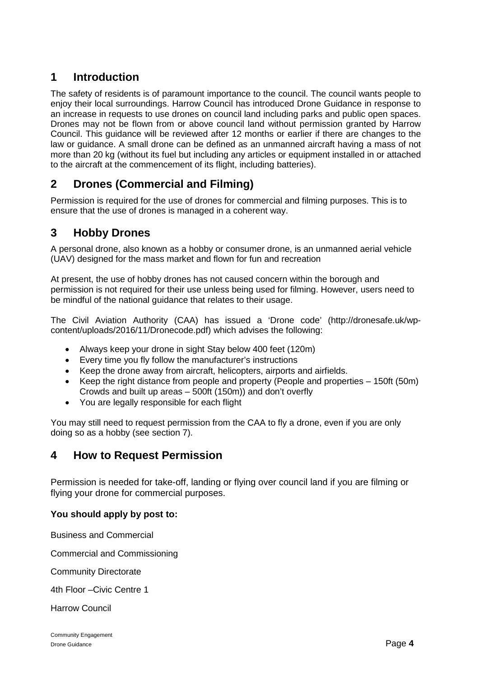# <span id="page-3-0"></span>**1 Introduction**

The safety of residents is of paramount importance to the council. The council wants people to enjoy their local surroundings. Harrow Council has introduced Drone Guidance in response to an increase in requests to use drones on council land including parks and public open spaces. Drones may not be flown from or above council land without permission granted by Harrow Council. This guidance will be reviewed after 12 months or earlier if there are changes to the law or guidance. A small drone can be defined as an unmanned aircraft having a mass of not more than 20 kg (without its fuel but including any articles or equipment installed in or attached to the aircraft at the commencement of its flight, including batteries).

# <span id="page-3-1"></span>**2 Drones (Commercial and Filming)**

Permission is required for the use of drones for commercial and filming purposes. This is to ensure that the use of drones is managed in a coherent way.

## <span id="page-3-2"></span>**3 Hobby Drones**

A personal drone, also known as a hobby or consumer drone, is an unmanned aerial vehicle (UAV) designed for the mass market and flown for fun and recreation

At present, the use of hobby drones has not caused concern within the borough and permission is not required for their use unless being used for filming. However, users need to be mindful of the national guidance that relates to their usage.

The Civil Aviation Authority (CAA) has issued a 'Drone code' (http://dronesafe.uk/wpcontent/uploads/2016/11/Dronecode.pdf) which advises the following:

- Always keep your drone in sight Stay below 400 feet (120m)
- Every time you fly follow the manufacturer's instructions
- Keep the drone away from aircraft, helicopters, airports and airfields.
- Keep the right distance from people and property (People and properties 150ft (50m) Crowds and built up areas – 500ft (150m)) and don't overfly
- You are legally responsible for each flight

You may still need to request permission from the CAA to fly a drone, even if you are only doing so as a hobby (see section 7).

## <span id="page-3-3"></span>**4 How to Request Permission**

Permission is needed for take-off, landing or flying over council land if you are filming or flying your drone for commercial purposes.

#### **You should apply by post to:**

Business and Commercial

Commercial and Commissioning

Community Directorate

4th Floor –Civic Centre 1

Harrow Council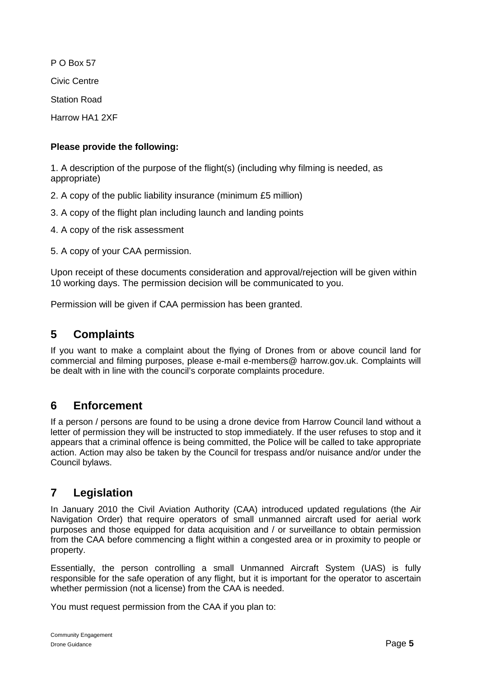P O Box 57 Civic Centre Station Road Harrow HA1 2XF

#### **Please provide the following:**

1. A description of the purpose of the flight(s) (including why filming is needed, as appropriate)

2. A copy of the public liability insurance (minimum £5 million)

3. A copy of the flight plan including launch and landing points

4. A copy of the risk assessment

5. A copy of your CAA permission.

Upon receipt of these documents consideration and approval/rejection will be given within 10 working days. The permission decision will be communicated to you.

Permission will be given if CAA permission has been granted.

## <span id="page-4-0"></span>**5 Complaints**

If you want to make a complaint about the flying of Drones from or above council land for commercial and filming purposes, please e-mail e-members@ harrow.gov.uk. Complaints will be dealt with in line with the council's corporate complaints procedure.

## <span id="page-4-1"></span>**6 Enforcement**

If a person / persons are found to be using a drone device from Harrow Council land without a letter of permission they will be instructed to stop immediately. If the user refuses to stop and it appears that a criminal offence is being committed, the Police will be called to take appropriate action. Action may also be taken by the Council for trespass and/or nuisance and/or under the Council bylaws.

## <span id="page-4-2"></span>**7 Legislation**

In January 2010 the Civil Aviation Authority (CAA) introduced updated regulations (the Air Navigation Order) that require operators of small unmanned aircraft used for aerial work purposes and those equipped for data acquisition and / or surveillance to obtain permission from the CAA before commencing a flight within a congested area or in proximity to people or property.

Essentially, the person controlling a small Unmanned Aircraft System (UAS) is fully responsible for the safe operation of any flight, but it is important for the operator to ascertain whether permission (not a license) from the CAA is needed.

You must request permission from the CAA if you plan to: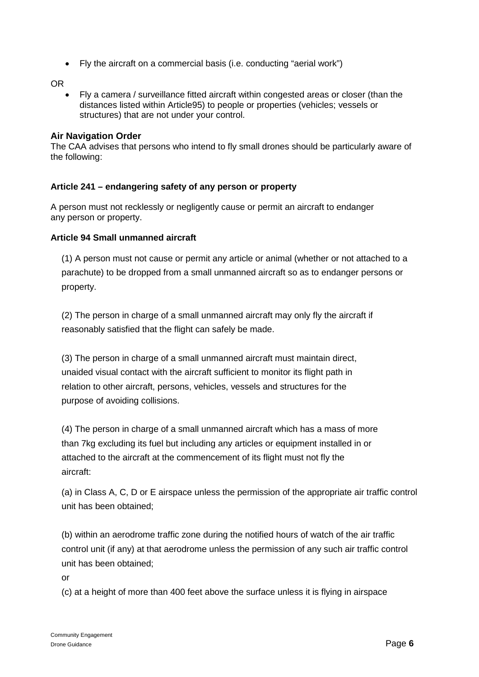• Fly the aircraft on a commercial basis (i.e. conducting "aerial work")

OR

• Fly a camera / surveillance fitted aircraft within congested areas or closer (than the distances listed within Article95) to people or properties (vehicles; vessels or structures) that are not under your control.

#### **Air Navigation Order**

The CAA advises that persons who intend to fly small drones should be particularly aware of the following:

#### **Article 241 – endangering safety of any person or property**

A person must not recklessly or negligently cause or permit an aircraft to endanger any person or property.

#### **Article 94 Small unmanned aircraft**

(1) A person must not cause or permit any article or animal (whether or not attached to a parachute) to be dropped from a small unmanned aircraft so as to endanger persons or property.

(2) The person in charge of a small unmanned aircraft may only fly the aircraft if reasonably satisfied that the flight can safely be made.

(3) The person in charge of a small unmanned aircraft must maintain direct, unaided visual contact with the aircraft sufficient to monitor its flight path in relation to other aircraft, persons, vehicles, vessels and structures for the purpose of avoiding collisions.

(4) The person in charge of a small unmanned aircraft which has a mass of more than 7kg excluding its fuel but including any articles or equipment installed in or attached to the aircraft at the commencement of its flight must not fly the aircraft:

(a) in Class A, C, D or E airspace unless the permission of the appropriate air traffic control unit has been obtained;

(b) within an aerodrome traffic zone during the notified hours of watch of the air traffic control unit (if any) at that aerodrome unless the permission of any such air traffic control unit has been obtained;

or

(c) at a height of more than 400 feet above the surface unless it is flying in airspace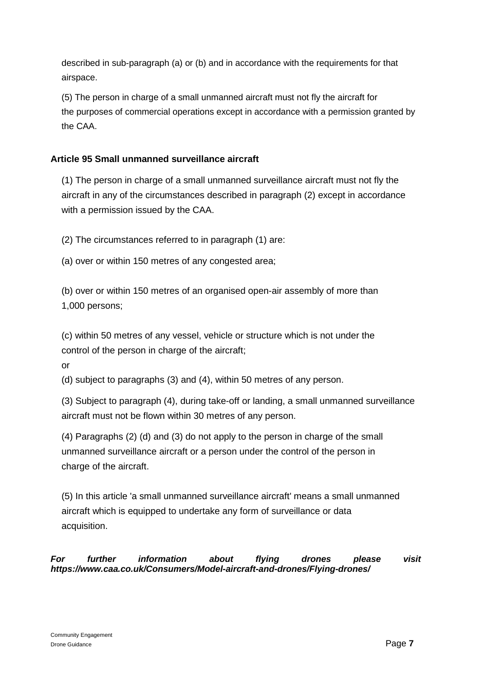described in sub-paragraph (a) or (b) and in accordance with the requirements for that airspace.

(5) The person in charge of a small unmanned aircraft must not fly the aircraft for the purposes of commercial operations except in accordance with a permission granted by the CAA.

#### **Article 95 Small unmanned surveillance aircraft**

(1) The person in charge of a small unmanned surveillance aircraft must not fly the aircraft in any of the circumstances described in paragraph (2) except in accordance with a permission issued by the CAA.

(2) The circumstances referred to in paragraph (1) are:

(a) over or within 150 metres of any congested area;

(b) over or within 150 metres of an organised open-air assembly of more than 1,000 persons;

(c) within 50 metres of any vessel, vehicle or structure which is not under the control of the person in charge of the aircraft;

or

(d) subject to paragraphs (3) and (4), within 50 metres of any person.

(3) Subject to paragraph (4), during take-off or landing, a small unmanned surveillance aircraft must not be flown within 30 metres of any person.

(4) Paragraphs (2) (d) and (3) do not apply to the person in charge of the small unmanned surveillance aircraft or a person under the control of the person in charge of the aircraft.

(5) In this article 'a small unmanned surveillance aircraft' means a small unmanned aircraft which is equipped to undertake any form of surveillance or data acquisition.

*For further information about flying drones please visit https://www.caa.co.uk/Consumers/Model-aircraft-and-drones/Flying-drones/*